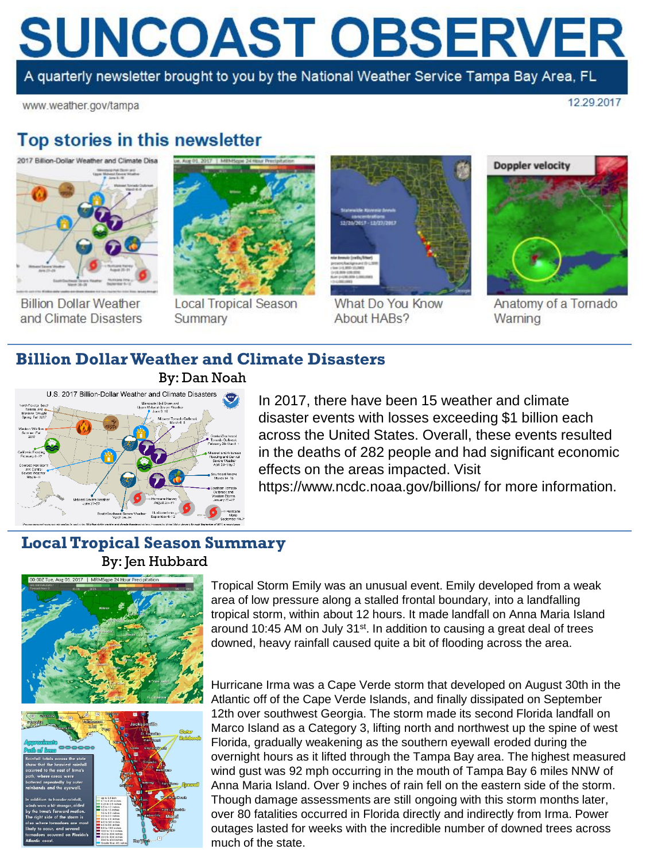# **SUNCOAST OBSERVER**

A quarterly newsletter brought to you by the National Weather Service Tampa Bay Area, FL

www.weather.gov/tampa

12 29 2017

## Top stories in this newsletter



**Billion Dollar Weather** and Climate Disasters



**Local Tropical Season** Summary



What Do You Know About HABs?



Anatomy of a Tornado Warning

## **Billion Dollar Weather and Climate Disasters**



In 2017, there have been 15 weather and climate disaster events with losses exceeding \$1 billion each across the United States. Overall, these events resulted in the deaths of 282 people and had significant economic effects on the areas impacted. Visit

#### https://www.ncdc.noaa.gov/billions/ for more information.

#### **Local Tropical Season Summary** By: Jen Hubbard



Tropical Storm Emily was an unusual event. Emily developed from a weak area of low pressure along a stalled frontal boundary, into a landfalling tropical storm, within about 12 hours. It made landfall on Anna Maria Island around 10:45 AM on July 31<sup>st</sup>. In addition to causing a great deal of trees downed, heavy rainfall caused quite a bit of flooding across the area.

Hurricane Irma was a Cape Verde storm that developed on August 30th in the Atlantic off of the Cape Verde Islands, and finally dissipated on September 12th over southwest Georgia. The storm made its second Florida landfall on Marco Island as a Category 3, lifting north and northwest up the spine of west Florida, gradually weakening as the southern eyewall eroded during the overnight hours as it lifted through the Tampa Bay area. The highest measured wind gust was 92 mph occurring in the mouth of Tampa Bay 6 miles NNW of Anna Maria Island. Over 9 inches of rain fell on the eastern side of the storm. Though damage assessments are still ongoing with this storm months later, over 80 fatalities occurred in Florida directly and indirectly from Irma. Power outages lasted for weeks with the incredible number of downed trees across much of the state.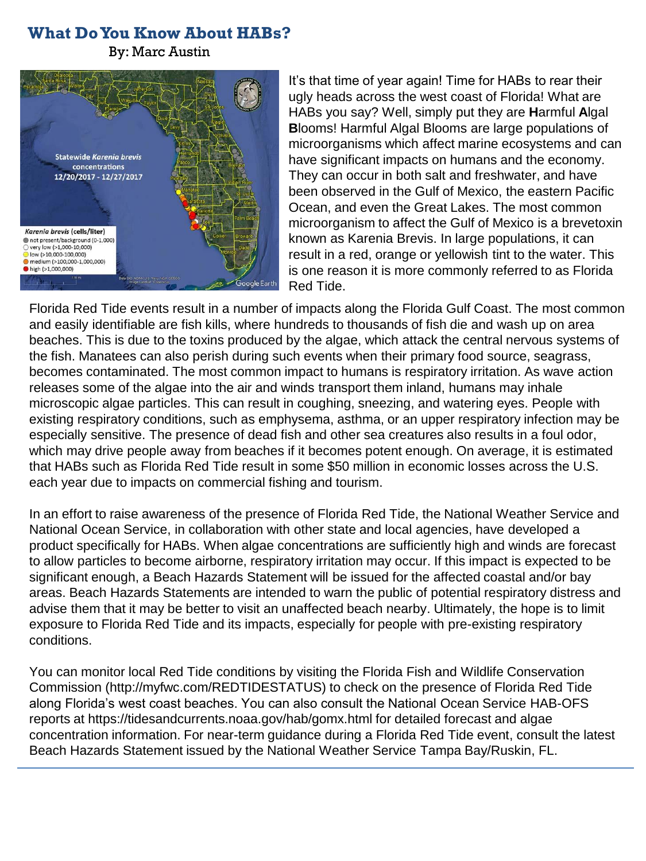## **What Do You Know About HABs?**

By: Marc Austin



It's that time of year again! Time for HABs to rear their ugly heads across the west coast of Florida! What are HABs you say? Well, simply put they are **H**armful **A**lgal **B**looms! Harmful Algal Blooms are large populations of microorganisms which affect marine ecosystems and can have significant impacts on humans and the economy. They can occur in both salt and freshwater, and have been observed in the Gulf of Mexico, the eastern Pacific Ocean, and even the Great Lakes. The most common microorganism to affect the Gulf of Mexico is a brevetoxin known as Karenia Brevis. In large populations, it can result in a red, orange or yellowish tint to the water. This is one reason it is more commonly referred to as Florida Red Tide.

Florida Red Tide events result in a number of impacts along the Florida Gulf Coast. The most common and easily identifiable are fish kills, where hundreds to thousands of fish die and wash up on area beaches. This is due to the toxins produced by the algae, which attack the central nervous systems of the fish. Manatees can also perish during such events when their primary food source, seagrass, becomes contaminated. The most common impact to humans is respiratory irritation. As wave action releases some of the algae into the air and winds transport them inland, humans may inhale microscopic algae particles. This can result in coughing, sneezing, and watering eyes. People with existing respiratory conditions, such as emphysema, asthma, or an upper respiratory infection may be especially sensitive. The presence of dead fish and other sea creatures also results in a foul odor, which may drive people away from beaches if it becomes potent enough. On average, it is estimated that HABs such as Florida Red Tide result in some \$50 million in economic losses across the U.S. each year due to impacts on commercial fishing and tourism.

In an effort to raise awareness of the presence of Florida Red Tide, the National Weather Service and National Ocean Service, in collaboration with other state and local agencies, have developed a product specifically for HABs. When algae concentrations are sufficiently high and winds are forecast to allow particles to become airborne, respiratory irritation may occur. If this impact is expected to be significant enough, a Beach Hazards Statement will be issued for the affected coastal and/or bay areas. Beach Hazards Statements are intended to warn the public of potential respiratory distress and advise them that it may be better to visit an unaffected beach nearby. Ultimately, the hope is to limit exposure to Florida Red Tide and its impacts, especially for people with pre-existing respiratory conditions.

You can monitor local Red Tide conditions by visiting the Florida Fish and Wildlife Conservation Commission (http://myfwc.com/REDTIDESTATUS) to check on the presence of Florida Red Tide along Florida's west coast beaches. You can also consult the National Ocean Service HAB-OFS reports at https://tidesandcurrents.noaa.gov/hab/gomx.html for detailed forecast and algae concentration information. For near-term guidance during a Florida Red Tide event, consult the latest Beach Hazards Statement issued by the National Weather Service Tampa Bay/Ruskin, FL.